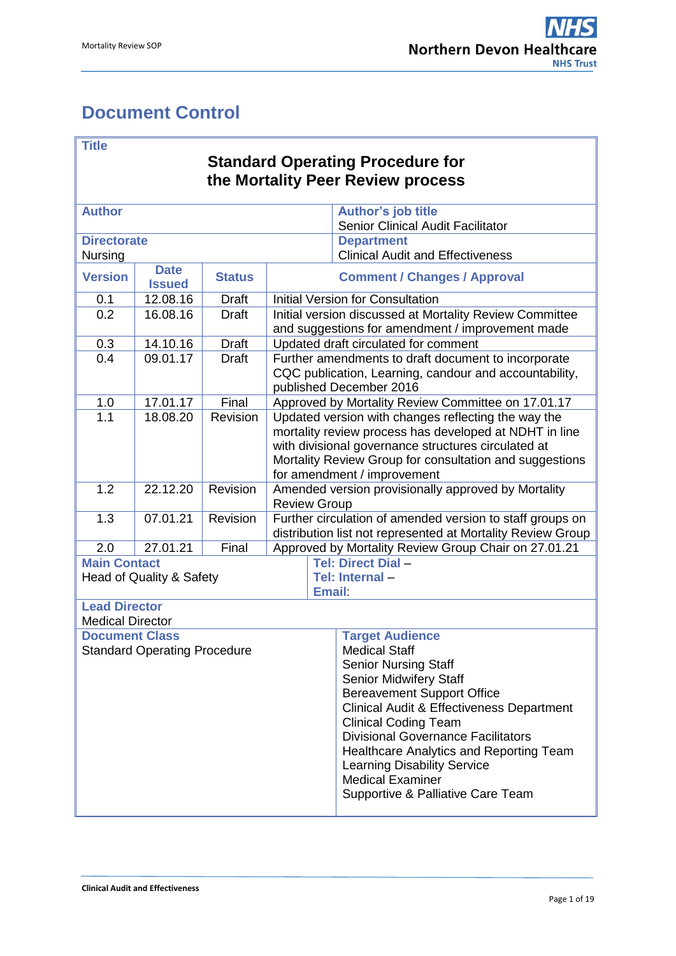# <span id="page-0-0"></span>**Document Control**

#### **Title**

## **Standard Operating Procedure for the Mortality Peer Review process**

| <b>Author</b>           |                                     |               |                                                                                                                                                                                                                                                                | <b>Author's job title</b>                                                                                                                |  |
|-------------------------|-------------------------------------|---------------|----------------------------------------------------------------------------------------------------------------------------------------------------------------------------------------------------------------------------------------------------------------|------------------------------------------------------------------------------------------------------------------------------------------|--|
|                         |                                     |               |                                                                                                                                                                                                                                                                | Senior Clinical Audit Facilitator                                                                                                        |  |
| <b>Directorate</b>      |                                     |               |                                                                                                                                                                                                                                                                | <b>Department</b>                                                                                                                        |  |
| Nursing                 |                                     |               |                                                                                                                                                                                                                                                                | <b>Clinical Audit and Effectiveness</b>                                                                                                  |  |
| <b>Version</b>          | <b>Date</b><br><b>Issued</b>        | <b>Status</b> |                                                                                                                                                                                                                                                                | <b>Comment / Changes / Approval</b>                                                                                                      |  |
| 0.1                     | 12.08.16                            | <b>Draft</b>  |                                                                                                                                                                                                                                                                | <b>Initial Version for Consultation</b>                                                                                                  |  |
| 0.2                     | 16.08.16                            | <b>Draft</b>  |                                                                                                                                                                                                                                                                | <b>Initial version discussed at Mortality Review Committee</b>                                                                           |  |
|                         |                                     |               |                                                                                                                                                                                                                                                                | and suggestions for amendment / improvement made                                                                                         |  |
| 0.3                     | 14.10.16                            | <b>Draft</b>  |                                                                                                                                                                                                                                                                | Updated draft circulated for comment                                                                                                     |  |
| 0.4                     | 09.01.17                            | <b>Draft</b>  |                                                                                                                                                                                                                                                                | Further amendments to draft document to incorporate<br>CQC publication, Learning, candour and accountability,<br>published December 2016 |  |
| 1.0                     | 17.01.17                            | Final         |                                                                                                                                                                                                                                                                | Approved by Mortality Review Committee on 17.01.17                                                                                       |  |
| 1.1                     | 18.08.20                            | Revision      | Updated version with changes reflecting the way the<br>mortality review process has developed at NDHT in line<br>with divisional governance structures circulated at<br>Mortality Review Group for consultation and suggestions<br>for amendment / improvement |                                                                                                                                          |  |
| 1.2                     | 22.12.20                            | Revision      |                                                                                                                                                                                                                                                                | Amended version provisionally approved by Mortality                                                                                      |  |
|                         |                                     |               | <b>Review Group</b>                                                                                                                                                                                                                                            |                                                                                                                                          |  |
| 1.3                     | 07.01.21                            | Revision      | Further circulation of amended version to staff groups on<br>distribution list not represented at Mortality Review Group                                                                                                                                       |                                                                                                                                          |  |
| 2.0                     | 27.01.21                            | Final         | Approved by Mortality Review Group Chair on 27.01.21                                                                                                                                                                                                           |                                                                                                                                          |  |
| <b>Main Contact</b>     |                                     |               | Tel: Direct Dial-                                                                                                                                                                                                                                              |                                                                                                                                          |  |
|                         | Head of Quality & Safety            |               |                                                                                                                                                                                                                                                                | Tel: Internal-                                                                                                                           |  |
|                         |                                     |               | <b>Email:</b>                                                                                                                                                                                                                                                  |                                                                                                                                          |  |
| <b>Lead Director</b>    |                                     |               |                                                                                                                                                                                                                                                                |                                                                                                                                          |  |
| <b>Medical Director</b> |                                     |               |                                                                                                                                                                                                                                                                |                                                                                                                                          |  |
| <b>Document Class</b>   |                                     |               |                                                                                                                                                                                                                                                                | <b>Target Audience</b>                                                                                                                   |  |
|                         | <b>Standard Operating Procedure</b> |               |                                                                                                                                                                                                                                                                | <b>Medical Staff</b>                                                                                                                     |  |
|                         |                                     |               |                                                                                                                                                                                                                                                                | <b>Senior Nursing Staff</b>                                                                                                              |  |
|                         |                                     |               |                                                                                                                                                                                                                                                                | Senior Midwifery Staff                                                                                                                   |  |
|                         |                                     |               | <b>Bereavement Support Office</b>                                                                                                                                                                                                                              |                                                                                                                                          |  |
|                         |                                     |               |                                                                                                                                                                                                                                                                | <b>Clinical Audit &amp; Effectiveness Department</b>                                                                                     |  |
|                         |                                     |               |                                                                                                                                                                                                                                                                | <b>Clinical Coding Team</b>                                                                                                              |  |
|                         |                                     |               |                                                                                                                                                                                                                                                                | <b>Divisional Governance Facilitators</b>                                                                                                |  |
|                         |                                     |               | Healthcare Analytics and Reporting Team                                                                                                                                                                                                                        |                                                                                                                                          |  |
|                         |                                     |               | <b>Learning Disability Service</b>                                                                                                                                                                                                                             |                                                                                                                                          |  |
|                         |                                     |               | <b>Medical Examiner</b>                                                                                                                                                                                                                                        |                                                                                                                                          |  |
|                         |                                     |               |                                                                                                                                                                                                                                                                | Supportive & Palliative Care Team                                                                                                        |  |
|                         |                                     |               |                                                                                                                                                                                                                                                                |                                                                                                                                          |  |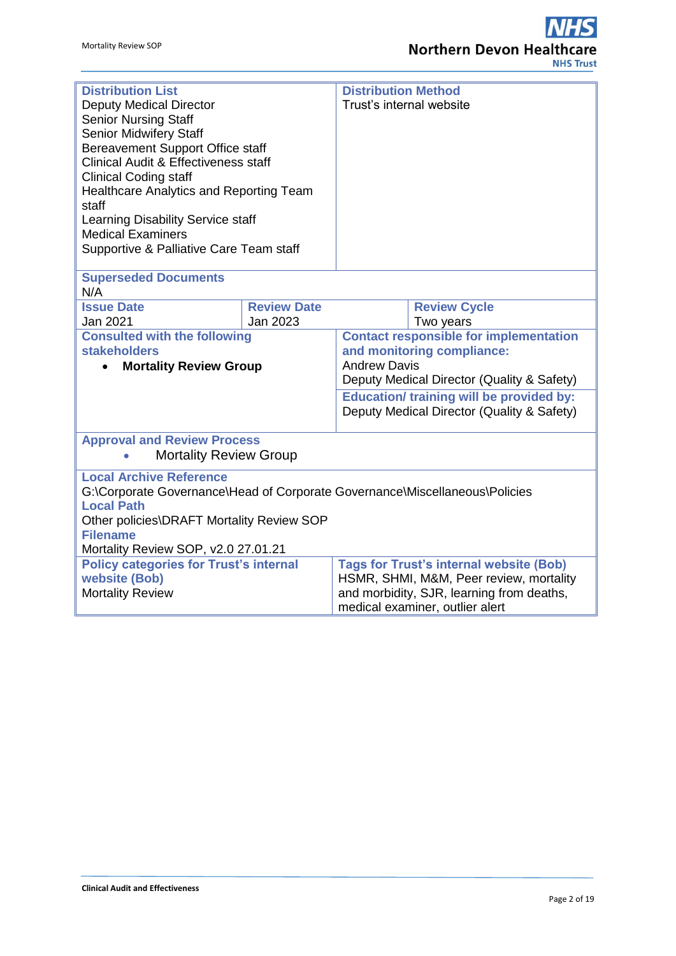| <b>Distribution List</b>                                                    |                    | <b>Distribution Method</b>                      |                                            |  |
|-----------------------------------------------------------------------------|--------------------|-------------------------------------------------|--------------------------------------------|--|
| <b>Deputy Medical Director</b>                                              |                    | Trust's internal website                        |                                            |  |
| <b>Senior Nursing Staff</b>                                                 |                    |                                                 |                                            |  |
| <b>Senior Midwifery Staff</b>                                               |                    |                                                 |                                            |  |
| <b>Bereavement Support Office staff</b>                                     |                    |                                                 |                                            |  |
| <b>Clinical Audit &amp; Effectiveness staff</b>                             |                    |                                                 |                                            |  |
| <b>Clinical Coding staff</b>                                                |                    |                                                 |                                            |  |
| Healthcare Analytics and Reporting Team                                     |                    |                                                 |                                            |  |
| staff                                                                       |                    |                                                 |                                            |  |
| Learning Disability Service staff                                           |                    |                                                 |                                            |  |
| <b>Medical Examiners</b>                                                    |                    |                                                 |                                            |  |
| Supportive & Palliative Care Team staff                                     |                    |                                                 |                                            |  |
|                                                                             |                    |                                                 |                                            |  |
| <b>Superseded Documents</b>                                                 |                    |                                                 |                                            |  |
| N/A                                                                         |                    |                                                 |                                            |  |
| <b>Issue Date</b>                                                           | <b>Review Date</b> |                                                 | <b>Review Cycle</b>                        |  |
| Jan 2021                                                                    | Jan 2023           |                                                 | Two years                                  |  |
| <b>Consulted with the following</b>                                         |                    | <b>Contact responsible for implementation</b>   |                                            |  |
| <b>stakeholders</b>                                                         |                    | and monitoring compliance:                      |                                            |  |
| <b>Mortality Review Group</b>                                               |                    |                                                 | <b>Andrew Davis</b>                        |  |
|                                                                             |                    | Deputy Medical Director (Quality & Safety)      |                                            |  |
|                                                                             |                    | <b>Education/ training will be provided by:</b> |                                            |  |
|                                                                             |                    |                                                 | Deputy Medical Director (Quality & Safety) |  |
|                                                                             |                    |                                                 |                                            |  |
| <b>Approval and Review Process</b>                                          |                    |                                                 |                                            |  |
| <b>Mortality Review Group</b>                                               |                    |                                                 |                                            |  |
| <b>Local Archive Reference</b>                                              |                    |                                                 |                                            |  |
| G:\Corporate Governance\Head of Corporate Governance\Miscellaneous\Policies |                    |                                                 |                                            |  |
| <b>Local Path</b>                                                           |                    |                                                 |                                            |  |
| Other policies\DRAFT Mortality Review SOP                                   |                    |                                                 |                                            |  |
| <b>Filename</b>                                                             |                    |                                                 |                                            |  |
| Mortality Review SOP, v2.0 27.01.21                                         |                    |                                                 |                                            |  |
| <b>Policy categories for Trust's internal</b>                               |                    | <b>Tags for Trust's internal website (Bob)</b>  |                                            |  |
| website (Bob)                                                               |                    | HSMR, SHMI, M&M, Peer review, mortality         |                                            |  |
| <b>Mortality Review</b>                                                     |                    | and morbidity, SJR, learning from deaths,       |                                            |  |
|                                                                             |                    |                                                 | medical examiner, outlier alert            |  |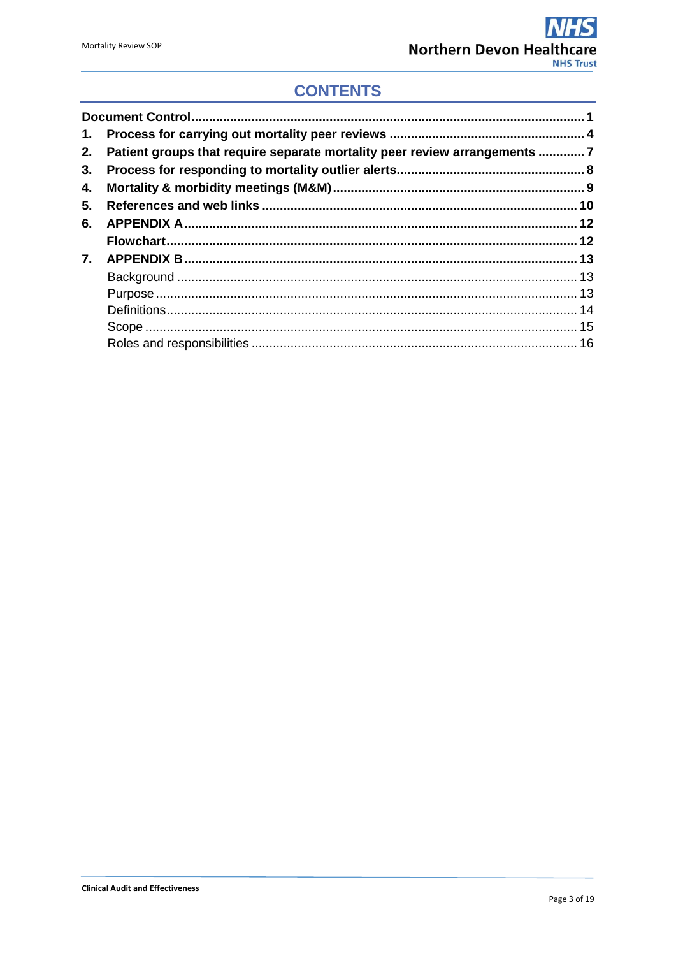## **CONTENTS**

| 2. | Patient groups that require separate mortality peer review arrangements 7 |  |
|----|---------------------------------------------------------------------------|--|
| 3. |                                                                           |  |
| 4. |                                                                           |  |
| 5. |                                                                           |  |
| 6. |                                                                           |  |
|    |                                                                           |  |
| 7. |                                                                           |  |
|    |                                                                           |  |
|    |                                                                           |  |
|    |                                                                           |  |
|    |                                                                           |  |
|    |                                                                           |  |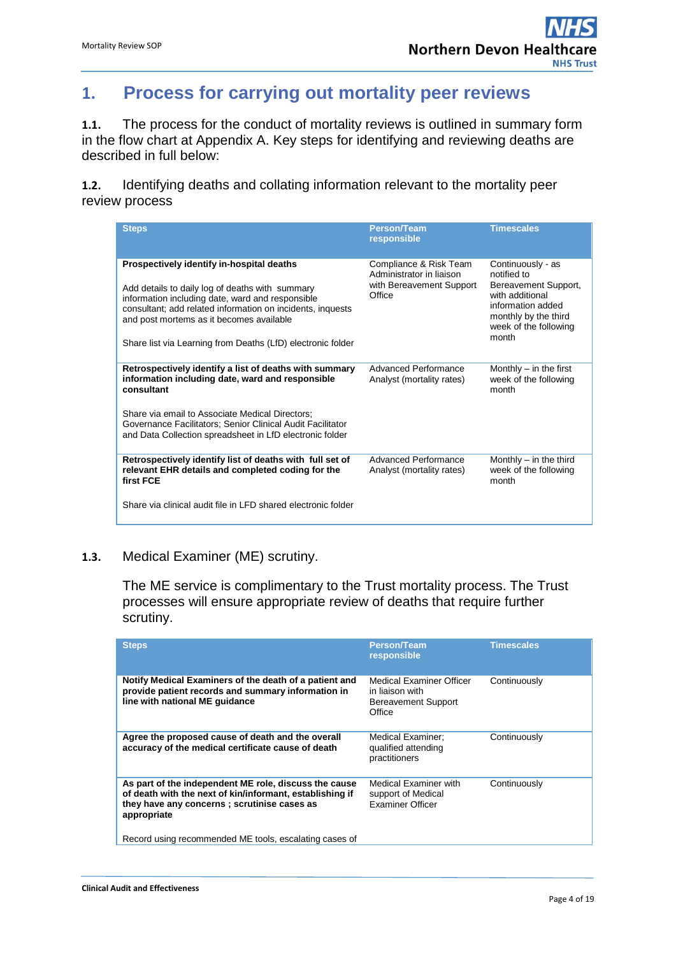## <span id="page-3-0"></span>**1. Process for carrying out mortality peer reviews**

**1.1.** The process for the conduct of mortality reviews is outlined in summary form in the flow chart at Appendix A. Key steps for identifying and reviewing deaths are described in full below:

**1.2.** Identifying deaths and collating information relevant to the mortality peer review process

| <b>Steps</b>                                                                                                                                                                                                                                                                                                              | <b>Person/Team</b><br>responsible                                                        | <b>Timescales</b>                                                                                                                                          |
|---------------------------------------------------------------------------------------------------------------------------------------------------------------------------------------------------------------------------------------------------------------------------------------------------------------------------|------------------------------------------------------------------------------------------|------------------------------------------------------------------------------------------------------------------------------------------------------------|
| Prospectively identify in-hospital deaths<br>Add details to daily log of deaths with summary<br>information including date, ward and responsible<br>consultant; add related information on incidents, inquests<br>and post mortems as it becomes available<br>Share list via Learning from Deaths (LfD) electronic folder | Compliance & Risk Team<br>Administrator in liaison<br>with Bereavement Support<br>Office | Continuously - as<br>notified to<br>Bereavement Support,<br>with additional<br>information added<br>monthly by the third<br>week of the following<br>month |
| Retrospectively identify a list of deaths with summary<br>information including date, ward and responsible<br>consultant                                                                                                                                                                                                  | Advanced Performance<br>Analyst (mortality rates)                                        | Monthly $-$ in the first<br>week of the following<br>month                                                                                                 |
| Share via email to Associate Medical Directors:<br>Governance Facilitators; Senior Clinical Audit Facilitator<br>and Data Collection spreadsheet in LfD electronic folder                                                                                                                                                 |                                                                                          |                                                                                                                                                            |
| Retrospectively identify list of deaths with full set of<br>relevant EHR details and completed coding for the<br>first FCE                                                                                                                                                                                                | Advanced Performance<br>Analyst (mortality rates)                                        | Monthly $-$ in the third<br>week of the following<br>month                                                                                                 |
| Share via clinical audit file in LFD shared electronic folder                                                                                                                                                                                                                                                             |                                                                                          |                                                                                                                                                            |

### **1.3.** Medical Examiner (ME) scrutiny.

The ME service is complimentary to the Trust mortality process. The Trust processes will ensure appropriate review of deaths that require further scrutiny.

| <b>Steps</b>                                                                                                                                                                     | <b>Person/Team</b><br>responsible                                             | <b>Timescales</b> |
|----------------------------------------------------------------------------------------------------------------------------------------------------------------------------------|-------------------------------------------------------------------------------|-------------------|
| Notify Medical Examiners of the death of a patient and<br>provide patient records and summary information in<br>line with national ME quidance                                   | Medical Examiner Officer<br>in liaison with<br>Bereavement Support<br>Office  | Continuously      |
| Agree the proposed cause of death and the overall<br>accuracy of the medical certificate cause of death                                                                          | Medical Examiner:<br>qualified attending<br>practitioners                     | Continuously      |
| As part of the independent ME role, discuss the cause<br>of death with the next of kin/informant, establishing if<br>they have any concerns ; scrutinise cases as<br>appropriate | <b>Medical Examiner with</b><br>support of Medical<br><b>Examiner Officer</b> | Continuously      |
| Record using recommended ME tools, escalating cases of                                                                                                                           |                                                                               |                   |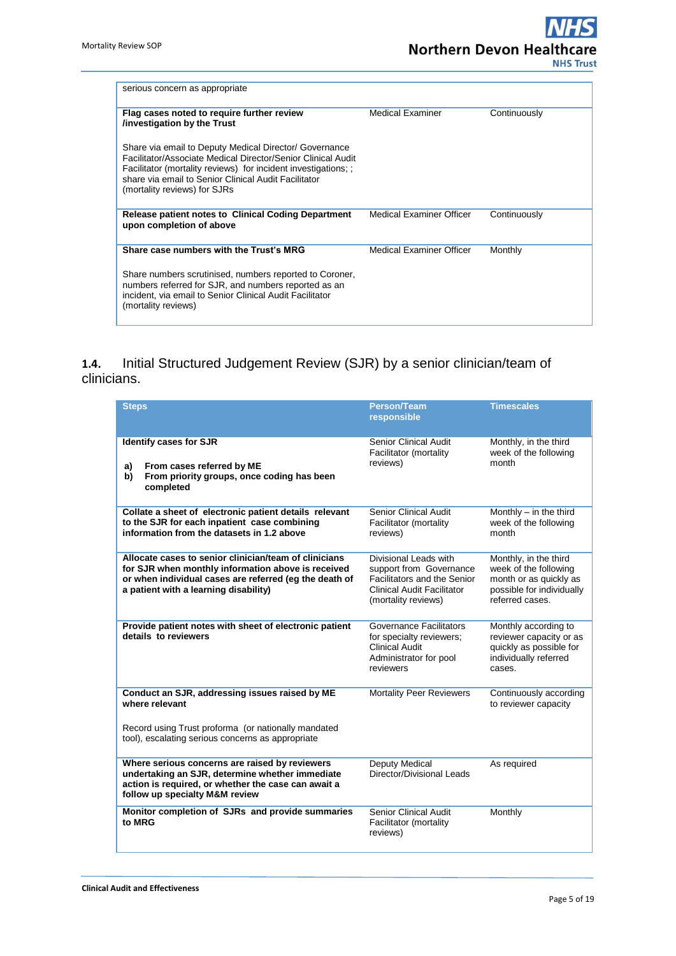| serious concern as appropriate                                                                                                                                                                                                                                                   |                          |              |
|----------------------------------------------------------------------------------------------------------------------------------------------------------------------------------------------------------------------------------------------------------------------------------|--------------------------|--------------|
| Flag cases noted to require further review<br>/investigation by the Trust                                                                                                                                                                                                        | <b>Medical Examiner</b>  | Continuously |
| Share via email to Deputy Medical Director/ Governance<br>Facilitator/Associate Medical Director/Senior Clinical Audit<br>Facilitator (mortality reviews) for incident investigations; ;<br>share via email to Senior Clinical Audit Facilitator<br>(mortality reviews) for SJRs |                          |              |
| Release patient notes to Clinical Coding Department<br>upon completion of above                                                                                                                                                                                                  | Medical Examiner Officer | Continuously |
| Share case numbers with the Trust's MRG                                                                                                                                                                                                                                          | Medical Examiner Officer | Monthly      |
| Share numbers scrutinised, numbers reported to Coroner,<br>numbers referred for SJR, and numbers reported as an<br>incident, via email to Senior Clinical Audit Facilitator<br>(mortality reviews)                                                                               |                          |              |

### **1.4.** Initial Structured Judgement Review (SJR) by a senior clinician/team of clinicians.

| <b>Steps</b>                                                                                                                                                                                                   | <b>Person/Team</b><br>responsible                                                                                                    | <b>Timescales</b>                                                                                                        |
|----------------------------------------------------------------------------------------------------------------------------------------------------------------------------------------------------------------|--------------------------------------------------------------------------------------------------------------------------------------|--------------------------------------------------------------------------------------------------------------------------|
| <b>Identify cases for SJR</b><br>From cases referred by ME<br>a)<br>From priority groups, once coding has been<br>b)<br>completed                                                                              | <b>Senior Clinical Audit</b><br>Facilitator (mortality<br>reviews)                                                                   | Monthly, in the third<br>week of the following<br>month                                                                  |
| Collate a sheet of electronic patient details relevant<br>to the SJR for each inpatient case combining<br>information from the datasets in 1.2 above                                                           | Senior Clinical Audit<br>Facilitator (mortality<br>reviews)                                                                          | Monthly $-$ in the third<br>week of the following<br>month                                                               |
| Allocate cases to senior clinician/team of clinicians<br>for SJR when monthly information above is received<br>or when individual cases are referred (eg the death of<br>a patient with a learning disability) | Divisional Leads with<br>support from Governance<br>Facilitators and the Senior<br>Clinical Audit Facilitator<br>(mortality reviews) | Monthly, in the third<br>week of the following<br>month or as quickly as<br>possible for individually<br>referred cases. |
| Provide patient notes with sheet of electronic patient<br>details to reviewers                                                                                                                                 | Governance Facilitators<br>for specialty reviewers;<br><b>Clinical Audit</b><br>Administrator for pool<br>reviewers                  | Monthly according to<br>reviewer capacity or as<br>quickly as possible for<br>individually referred<br>cases.            |
| Conduct an SJR, addressing issues raised by ME<br>where relevant<br>Record using Trust proforma (or nationally mandated<br>tool), escalating serious concerns as appropriate                                   | <b>Mortality Peer Reviewers</b>                                                                                                      | Continuously according<br>to reviewer capacity                                                                           |
|                                                                                                                                                                                                                |                                                                                                                                      |                                                                                                                          |
| Where serious concerns are raised by reviewers<br>undertaking an SJR, determine whether immediate<br>action is required, or whether the case can await a<br>follow up specialty M&M review                     | Deputy Medical<br>Director/Divisional Leads                                                                                          | As required                                                                                                              |
| Monitor completion of SJRs and provide summaries<br>to MRG                                                                                                                                                     | <b>Senior Clinical Audit</b><br>Facilitator (mortality<br>reviews)                                                                   | Monthly                                                                                                                  |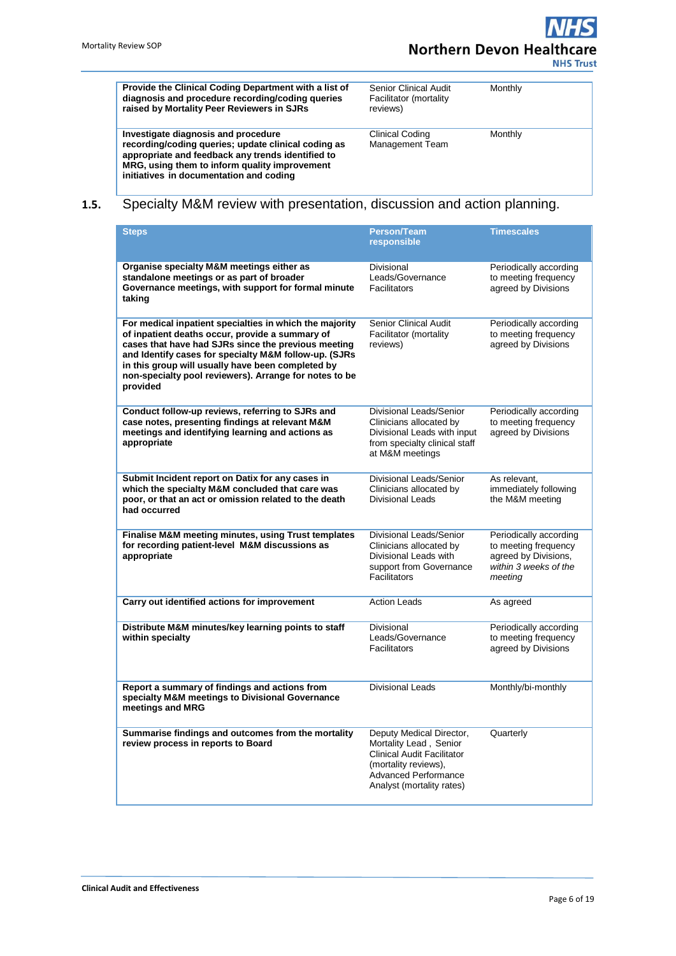**NHS Trust** 

**Provide the Clinical Coding Department with a list of diagnosis and procedure recording/coding queries raised by Mortality Peer Reviewers in SJRs** Senior Clinical Audit Facilitator (mortality reviews) **Monthly Investigate diagnosis and procedure recording/coding queries; update clinical coding as appropriate and feedback any trends identified to MRG, using them to inform quality improvement initiatives in documentation and coding** Clinical Coding Management Team **Monthly** 

### **1.5.** Specialty M&M review with presentation, discussion and action planning.

| <b>Steps</b>                                                                                                                                                                                                                                                                                                                                          | <b>Person/Team</b><br>responsible                                                                                                                                           | <b>Timescales</b>                                                                                          |
|-------------------------------------------------------------------------------------------------------------------------------------------------------------------------------------------------------------------------------------------------------------------------------------------------------------------------------------------------------|-----------------------------------------------------------------------------------------------------------------------------------------------------------------------------|------------------------------------------------------------------------------------------------------------|
| Organise specialty M&M meetings either as<br>standalone meetings or as part of broader<br>Governance meetings, with support for formal minute<br>taking                                                                                                                                                                                               | Divisional<br>Leads/Governance<br><b>Facilitators</b>                                                                                                                       | Periodically according<br>to meeting frequency<br>agreed by Divisions                                      |
| For medical inpatient specialties in which the majority<br>of inpatient deaths occur, provide a summary of<br>cases that have had SJRs since the previous meeting<br>and Identify cases for specialty M&M follow-up. (SJRs<br>in this group will usually have been completed by<br>non-specialty pool reviewers). Arrange for notes to be<br>provided | <b>Senior Clinical Audit</b><br>Facilitator (mortality<br>reviews)                                                                                                          | Periodically according<br>to meeting frequency<br>agreed by Divisions                                      |
| Conduct follow-up reviews, referring to SJRs and<br>case notes, presenting findings at relevant M&M<br>meetings and identifying learning and actions as<br>appropriate                                                                                                                                                                                | Divisional Leads/Senior<br>Clinicians allocated by<br>Divisional Leads with input<br>from specialty clinical staff<br>at M&M meetings                                       | Periodically according<br>to meeting frequency<br>agreed by Divisions                                      |
| Submit Incident report on Datix for any cases in<br>which the specialty M&M concluded that care was<br>poor, or that an act or omission related to the death<br>had occurred                                                                                                                                                                          | Divisional Leads/Senior<br>Clinicians allocated by<br><b>Divisional Leads</b>                                                                                               | As relevant,<br>immediately following<br>the M&M meeting                                                   |
| Finalise M&M meeting minutes, using Trust templates<br>for recording patient-level M&M discussions as<br>appropriate                                                                                                                                                                                                                                  | Divisional Leads/Senior<br>Clinicians allocated by<br>Divisional Leads with<br>support from Governance<br><b>Facilitators</b>                                               | Periodically according<br>to meeting frequency<br>agreed by Divisions,<br>within 3 weeks of the<br>meeting |
| Carry out identified actions for improvement                                                                                                                                                                                                                                                                                                          | <b>Action Leads</b>                                                                                                                                                         | As agreed                                                                                                  |
| Distribute M&M minutes/key learning points to staff<br>within specialty                                                                                                                                                                                                                                                                               | Divisional<br>Leads/Governance<br><b>Facilitators</b>                                                                                                                       | Periodically according<br>to meeting frequency<br>agreed by Divisions                                      |
| Report a summary of findings and actions from<br>specialty M&M meetings to Divisional Governance<br>meetings and MRG                                                                                                                                                                                                                                  | <b>Divisional Leads</b>                                                                                                                                                     | Monthly/bi-monthly                                                                                         |
| Summarise findings and outcomes from the mortality<br>review process in reports to Board                                                                                                                                                                                                                                                              | Deputy Medical Director,<br>Mortality Lead, Senior<br><b>Clinical Audit Facilitator</b><br>(mortality reviews),<br><b>Advanced Performance</b><br>Analyst (mortality rates) | Quarterly                                                                                                  |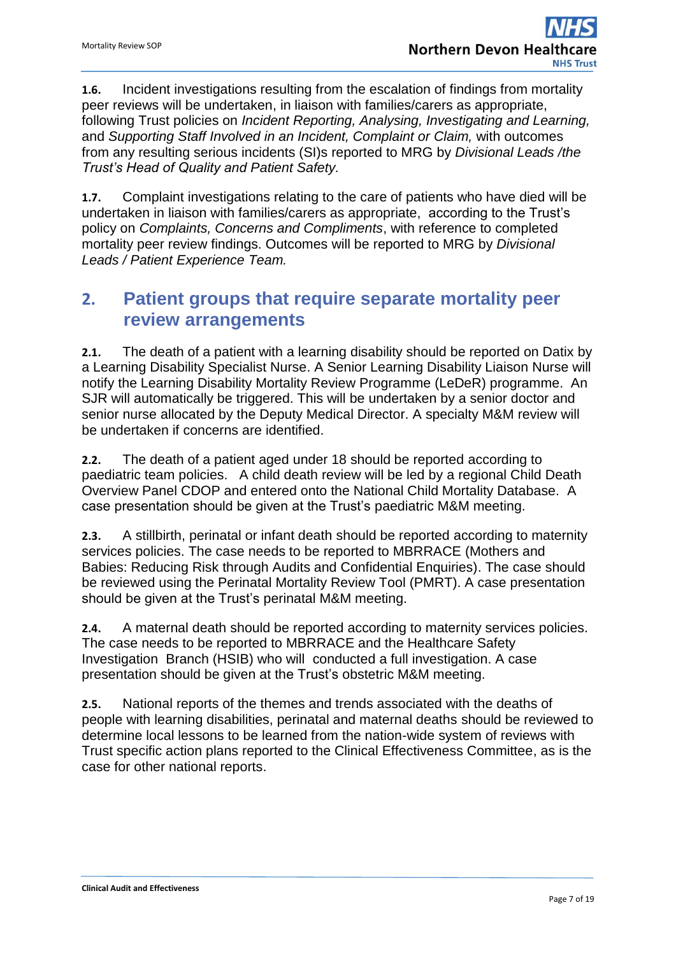**1.6.** Incident investigations resulting from the escalation of findings from mortality peer reviews will be undertaken, in liaison with families/carers as appropriate, following Trust policies on *Incident Reporting, Analysing, Investigating and Learning,*  and *Supporting Staff Involved in an Incident, Complaint or Claim,* with outcomes from any resulting serious incidents (SI)s reported to MRG by *Divisional Leads /the Trust's Head of Quality and Patient Safety.*

**1.7.** Complaint investigations relating to the care of patients who have died will be undertaken in liaison with families/carers as appropriate, according to the Trust's policy on *Complaints, Concerns and Compliments*, with reference to completed mortality peer review findings. Outcomes will be reported to MRG by *Divisional Leads / Patient Experience Team.*

## <span id="page-6-0"></span>**2. Patient groups that require separate mortality peer review arrangements**

**2.1.** The death of a patient with a learning disability should be reported on Datix by a Learning Disability Specialist Nurse. A Senior Learning Disability Liaison Nurse will notify the Learning Disability Mortality Review Programme (LeDeR) programme. An SJR will automatically be triggered. This will be undertaken by a senior doctor and senior nurse allocated by the Deputy Medical Director. A specialty M&M review will be undertaken if concerns are identified.

**2.2.** The death of a patient aged under 18 should be reported according to paediatric team policies. A child death review will be led by a regional Child Death Overview Panel CDOP and entered onto the National Child Mortality Database. A case presentation should be given at the Trust's paediatric M&M meeting.

**2.3.** A stillbirth, perinatal or infant death should be reported according to maternity services policies. The case needs to be reported to MBRRACE (Mothers and Babies: Reducing Risk through Audits and Confidential Enquiries). The case should be reviewed using the Perinatal Mortality Review Tool (PMRT). A case presentation should be given at the Trust's perinatal M&M meeting.

**2.4.** A maternal death should be reported according to maternity services policies. The case needs to be reported to MBRRACE and the Healthcare Safety Investigation Branch (HSIB) who will conducted a full investigation. A case presentation should be given at the Trust's obstetric M&M meeting.

**2.5.** National reports of the themes and trends associated with the deaths of people with learning disabilities, perinatal and maternal deaths should be reviewed to determine local lessons to be learned from the nation-wide system of reviews with Trust specific action plans reported to the Clinical Effectiveness Committee, as is the case for other national reports.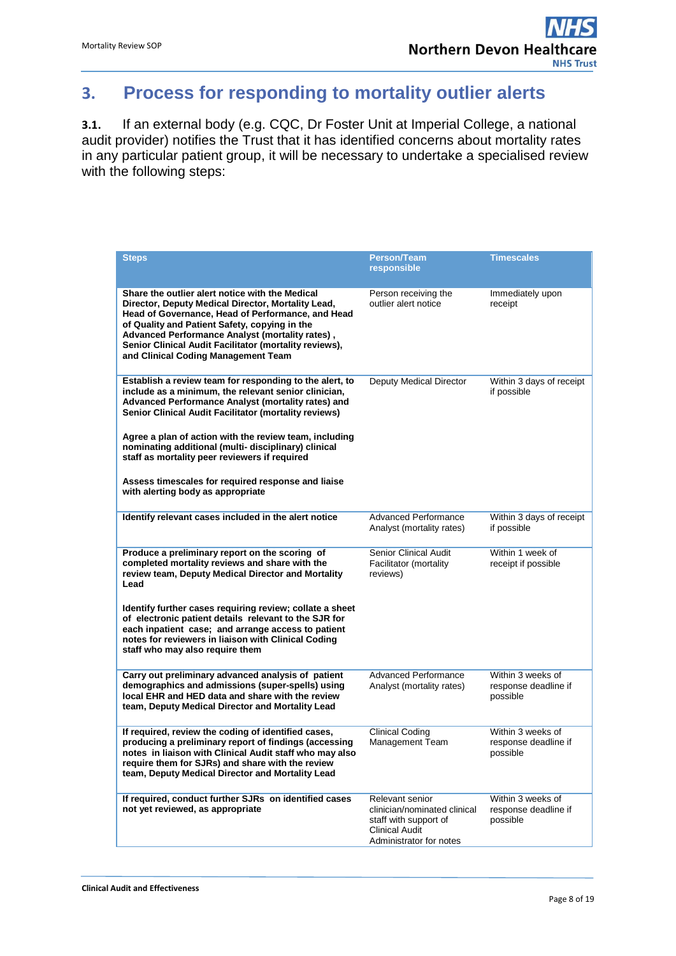## <span id="page-7-0"></span>**3. Process for responding to mortality outlier alerts**

**3.1.** If an external body (e.g. CQC, Dr Foster Unit at Imperial College, a national audit provider) notifies the Trust that it has identified concerns about mortality rates in any particular patient group, it will be necessary to undertake a specialised review with the following steps:

| <b>Steps</b>                                                                                                                                                                                                                                                                                                                                                                                                                                                                                 | <b>Person/Team</b><br>responsible                                                                                            | <b>Timescales</b>                                     |
|----------------------------------------------------------------------------------------------------------------------------------------------------------------------------------------------------------------------------------------------------------------------------------------------------------------------------------------------------------------------------------------------------------------------------------------------------------------------------------------------|------------------------------------------------------------------------------------------------------------------------------|-------------------------------------------------------|
| Share the outlier alert notice with the Medical<br>Director, Deputy Medical Director, Mortality Lead,<br>Head of Governance, Head of Performance, and Head<br>of Quality and Patient Safety, copying in the<br>Advanced Performance Analyst (mortality rates),<br>Senior Clinical Audit Facilitator (mortality reviews),<br>and Clinical Coding Management Team                                                                                                                              | Person receiving the<br>outlier alert notice                                                                                 | Immediately upon<br>receipt                           |
| Establish a review team for responding to the alert, to<br>include as a minimum, the relevant senior clinician,<br>Advanced Performance Analyst (mortality rates) and<br>Senior Clinical Audit Facilitator (mortality reviews)<br>Agree a plan of action with the review team, including<br>nominating additional (multi- disciplinary) clinical<br>staff as mortality peer reviewers if required<br>Assess timescales for required response and liaise<br>with alerting body as appropriate | Deputy Medical Director                                                                                                      | Within 3 days of receipt<br>if possible               |
| Identify relevant cases included in the alert notice                                                                                                                                                                                                                                                                                                                                                                                                                                         | <b>Advanced Performance</b><br>Analyst (mortality rates)                                                                     | Within 3 days of receipt<br>if possible               |
| Produce a preliminary report on the scoring of<br>completed mortality reviews and share with the<br>review team, Deputy Medical Director and Mortality<br>Lead<br>Identify further cases requiring review; collate a sheet<br>of electronic patient details relevant to the SJR for<br>each inpatient case; and arrange access to patient<br>notes for reviewers in liaison with Clinical Coding                                                                                             | <b>Senior Clinical Audit</b><br>Facilitator (mortality<br>reviews)                                                           | Within 1 week of<br>receipt if possible               |
| staff who may also require them                                                                                                                                                                                                                                                                                                                                                                                                                                                              |                                                                                                                              |                                                       |
| Carry out preliminary advanced analysis of patient<br>demographics and admissions (super-spells) using<br>local EHR and HED data and share with the review<br>team, Deputy Medical Director and Mortality Lead                                                                                                                                                                                                                                                                               | <b>Advanced Performance</b><br>Analyst (mortality rates)                                                                     | Within 3 weeks of<br>response deadline if<br>possible |
| If required, review the coding of identified cases,<br>producing a preliminary report of findings (accessing<br>notes in liaison with Clinical Audit staff who may also<br>require them for SJRs) and share with the review<br>team, Deputy Medical Director and Mortality Lead                                                                                                                                                                                                              | <b>Clinical Coding</b><br>Management Team                                                                                    | Within 3 weeks of<br>response deadline if<br>possible |
| If required, conduct further SJRs on identified cases<br>not yet reviewed, as appropriate                                                                                                                                                                                                                                                                                                                                                                                                    | Relevant senior<br>clinician/nominated clinical<br>staff with support of<br><b>Clinical Audit</b><br>Administrator for notes | Within 3 weeks of<br>response deadline if<br>possible |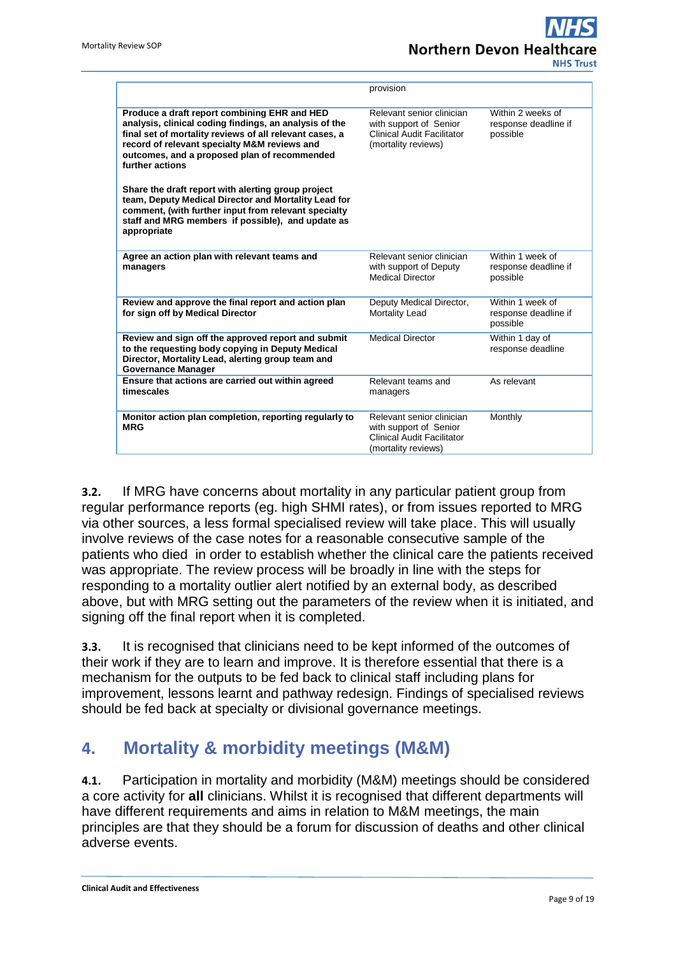# **Northern Devon Healt NHS Trust**

|                                                                                                                                                                                                                                                                                                                                            | provision                                                                                                       |                                                       |
|--------------------------------------------------------------------------------------------------------------------------------------------------------------------------------------------------------------------------------------------------------------------------------------------------------------------------------------------|-----------------------------------------------------------------------------------------------------------------|-------------------------------------------------------|
| Produce a draft report combining EHR and HED<br>analysis, clinical coding findings, an analysis of the<br>final set of mortality reviews of all relevant cases, a<br>record of relevant specialty M&M reviews and<br>outcomes, and a proposed plan of recommended<br>further actions<br>Share the draft report with alerting group project | Relevant senior clinician<br>with support of Senior<br><b>Clinical Audit Facilitator</b><br>(mortality reviews) | Within 2 weeks of<br>response deadline if<br>possible |
| team, Deputy Medical Director and Mortality Lead for<br>comment, (with further input from relevant specialty<br>staff and MRG members if possible), and update as<br>appropriate                                                                                                                                                           |                                                                                                                 |                                                       |
| Agree an action plan with relevant teams and<br>managers                                                                                                                                                                                                                                                                                   | Relevant senior clinician<br>with support of Deputy<br><b>Medical Director</b>                                  | Within 1 week of<br>response deadline if<br>possible  |
| Review and approve the final report and action plan<br>for sign off by Medical Director                                                                                                                                                                                                                                                    | Deputy Medical Director,<br>Mortality Lead                                                                      | Within 1 week of<br>response deadline if<br>possible  |
| Review and sign off the approved report and submit<br>to the requesting body copying in Deputy Medical<br>Director, Mortality Lead, alerting group team and<br><b>Governance Manager</b>                                                                                                                                                   | <b>Medical Director</b>                                                                                         | Within 1 day of<br>response deadline                  |
| Ensure that actions are carried out within agreed<br>timescales                                                                                                                                                                                                                                                                            | Relevant teams and<br>managers                                                                                  | As relevant                                           |
| Monitor action plan completion, reporting regularly to<br><b>MRG</b>                                                                                                                                                                                                                                                                       | Relevant senior clinician<br>with support of Senior<br>Clinical Audit Facilitator<br>(mortality reviews)        | Monthly                                               |

**3.2.** If MRG have concerns about mortality in any particular patient group from regular performance reports (eg. high SHMI rates), or from issues reported to MRG via other sources, a less formal specialised review will take place. This will usually involve reviews of the case notes for a reasonable consecutive sample of the patients who died in order to establish whether the clinical care the patients received was appropriate. The review process will be broadly in line with the steps for responding to a mortality outlier alert notified by an external body, as described above, but with MRG setting out the parameters of the review when it is initiated, and signing off the final report when it is completed.

**3.3.** It is recognised that clinicians need to be kept informed of the outcomes of their work if they are to learn and improve. It is therefore essential that there is a mechanism for the outputs to be fed back to clinical staff including plans for improvement, lessons learnt and pathway redesign. Findings of specialised reviews should be fed back at specialty or divisional governance meetings.

## <span id="page-8-0"></span>**4. Mortality & morbidity meetings (M&M)**

**4.1.** Participation in mortality and morbidity (M&M) meetings should be considered a core activity for **all** clinicians. Whilst it is recognised that different departments will have different requirements and aims in relation to M&M meetings, the main principles are that they should be a forum for discussion of deaths and other clinical adverse events.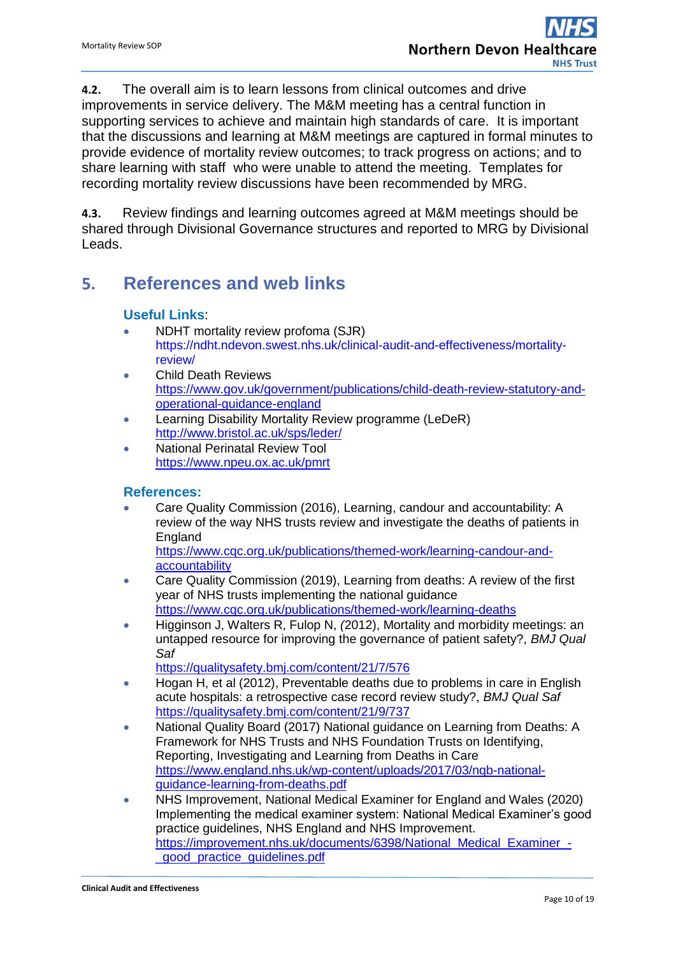**4.2.** The overall aim is to learn lessons from clinical outcomes and drive improvements in service delivery. The M&M meeting has a central function in supporting services to achieve and maintain high standards of care. It is important that the discussions and learning at M&M meetings are captured in formal minutes to provide evidence of mortality review outcomes; to track progress on actions; and to share learning with staff who were unable to attend the meeting. Templates for recording mortality review discussions have been recommended by MRG.

**4.3.** Review findings and learning outcomes agreed at M&M meetings should be shared through Divisional Governance structures and reported to MRG by Divisional Leads.

## <span id="page-9-0"></span>**5. References and web links**

### **Useful Links**:

- NDHT mortality review profoma (SJR) [https://ndht.ndevon.swest.nhs.uk/clinical-audit-and-effectiveness/mortality](https://ndht.ndevon.swest.nhs.uk/clinical-audit-and-effectiveness/mortality-review/)[review/](https://ndht.ndevon.swest.nhs.uk/clinical-audit-and-effectiveness/mortality-review/)
- Child Death Reviews [https://www.gov.uk/government/publications/child-death-review-statutory-and](https://www.gov.uk/government/publications/child-death-review-statutory-and-operational-guidance-england)[operational-guidance-england](https://www.gov.uk/government/publications/child-death-review-statutory-and-operational-guidance-england)
- **Learning Disability Mortality Review programme (LeDeR)** <http://www.bristol.ac.uk/sps/leder/>
- National Perinatal Review Tool <https://www.npeu.ox.ac.uk/pmrt>

### **References:**

 Care Quality Commission (2016), Learning, candour and accountability: A review of the way NHS trusts review and investigate the deaths of patients in England

[https://www.cqc.org.uk/publications/themed-work/learning-candour-and](https://www.cqc.org.uk/publications/themed-work/learning-candour-and-accountability)[accountability](https://www.cqc.org.uk/publications/themed-work/learning-candour-and-accountability)

- Care Quality Commission (2019), Learning from deaths: A review of the first year of NHS trusts implementing the national guidance <https://www.cqc.org.uk/publications/themed-work/learning-deaths>
- Higginson J, Walters R, Fulop N, *(*2012), Mortality and morbidity meetings: an untapped resource for improving the governance of patient safety?, *BMJ Qual Saf*

<https://qualitysafety.bmj.com/content/21/7/576>

- Hogan H, et al (2012), Preventable deaths due to problems in care in English acute hospitals: a retrospective case record review study?, *BMJ Qual Saf* https://qualitysafety.bmj.com/content/21/9/737
- National Quality Board (2017) National guidance on Learning from Deaths: A Framework for NHS Trusts and NHS Foundation Trusts on Identifying, Reporting, Investigating and Learning from Deaths in Care [https://www.england.nhs.uk/wp-content/uploads/2017/03/nqb-national](https://www.england.nhs.uk/wp-content/uploads/2017/03/nqb-national-guidance-learning-from-deaths.pdf)[guidance-learning-from-deaths.pdf](https://www.england.nhs.uk/wp-content/uploads/2017/03/nqb-national-guidance-learning-from-deaths.pdf)
- NHS Improvement, National Medical Examiner for England and Wales (2020) Implementing the medical examiner system: National Medical Examiner's good practice guidelines, NHS England and NHS Improvement. [https://improvement.nhs.uk/documents/6398/National\\_Medical\\_Examiner\\_-](https://improvement.nhs.uk/documents/6398/National_Medical_Examiner_-_good_practice_guidelines.pdf) [\\_good\\_practice\\_guidelines.pdf](https://improvement.nhs.uk/documents/6398/National_Medical_Examiner_-_good_practice_guidelines.pdf)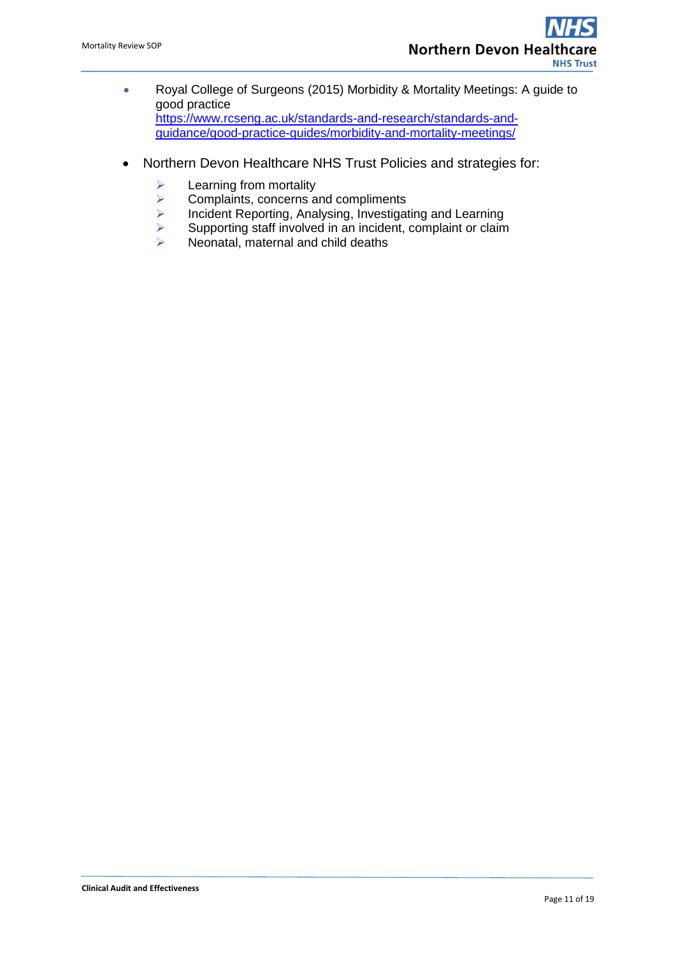- Royal College of Surgeons (2015) Morbidity & Mortality Meetings: A guide to good practice [https://www.rcseng.ac.uk/standards-and-research/standards-and](https://www.rcseng.ac.uk/standards-and-research/standards-and-guidance/good-practice-guides/morbidity-and-mortality-meetings/)[guidance/good-practice-guides/morbidity-and-mortality-meetings/](https://www.rcseng.ac.uk/standards-and-research/standards-and-guidance/good-practice-guides/morbidity-and-mortality-meetings/)
- Northern Devon Healthcare NHS Trust Policies and strategies for:
	- $\geq$  Learning from mortality<br> $\geq$  Complaints, concerns a
	- $\triangleright$  Complaints, concerns and compliments<br> $\triangleright$  Incident Reporting, Analysing, Investigation
	- Incident Reporting, Analysing, Investigating and Learning<br>
	Supporting staff involved in an incident, complaint or claim
	- $\triangleright$  Supporting staff involved in an incident, complaint or claim<br>  $\triangleright$  Neonatal, maternal and child deaths
	- Neonatal, maternal and child deaths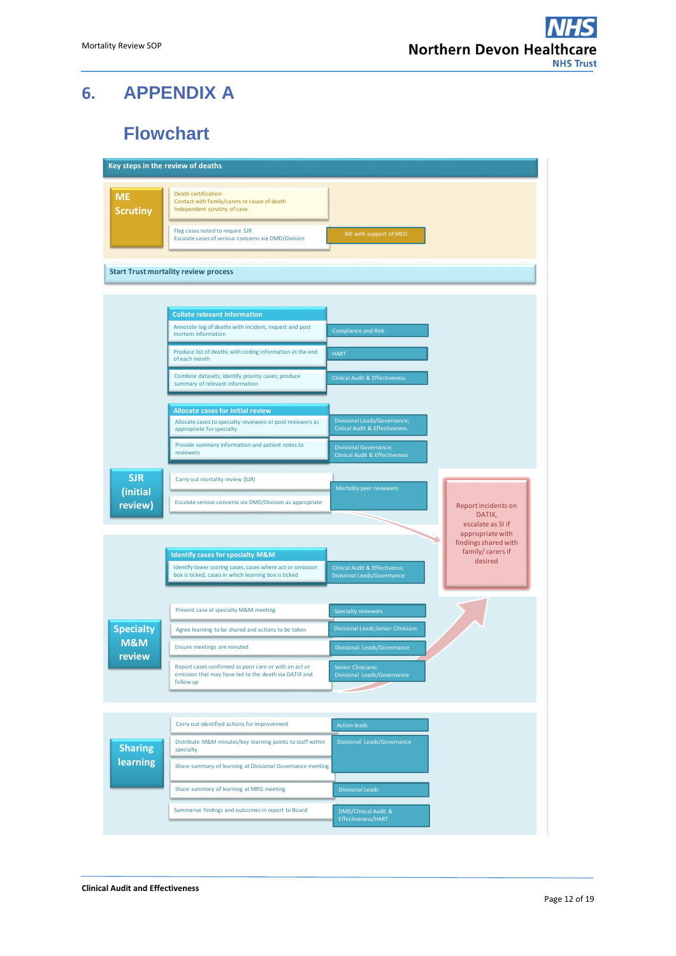# <span id="page-11-0"></span>**6. APPENDIX A**

# **Flowchart**

<span id="page-11-1"></span>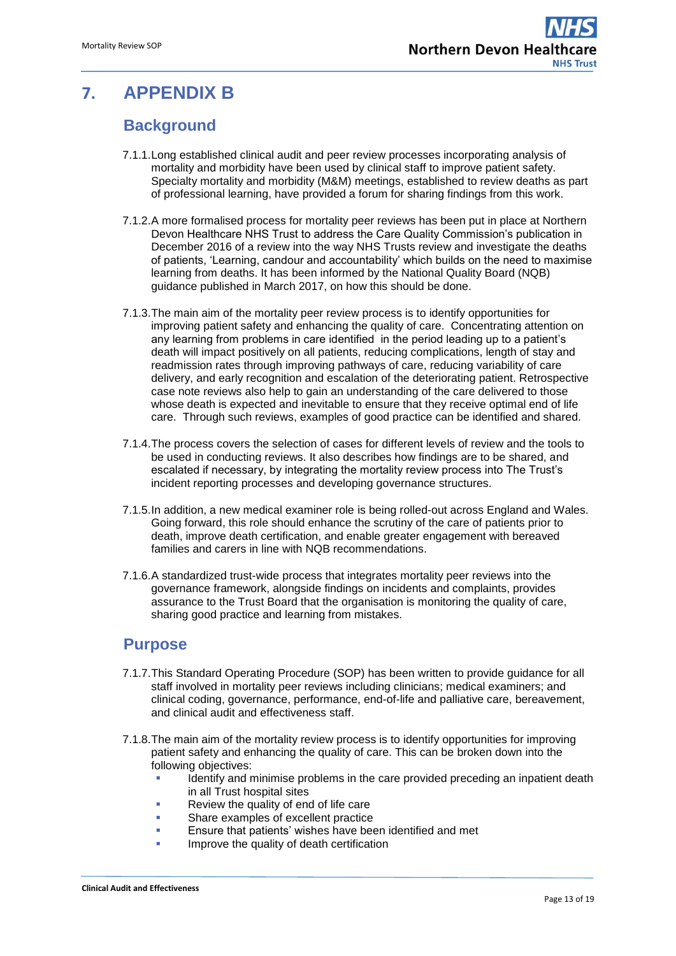# <span id="page-12-1"></span><span id="page-12-0"></span>**7. APPENDIX B**

## **Background**

- 7.1.1.Long established clinical audit and peer review processes incorporating analysis of mortality and morbidity have been used by clinical staff to improve patient safety. Specialty mortality and morbidity (M&M) meetings, established to review deaths as part of professional learning, have provided a forum for sharing findings from this work.
- 7.1.2.A more formalised process for mortality peer reviews has been put in place at Northern Devon Healthcare NHS Trust to address the Care Quality Commission's publication in December 2016 of a review into the way NHS Trusts review and investigate the deaths of patients, 'Learning, candour and accountability' which builds on the need to maximise learning from deaths. It has been informed by the National Quality Board (NQB) guidance published in March 2017, on how this should be done.
- 7.1.3.The main aim of the mortality peer review process is to identify opportunities for improving patient safety and enhancing the quality of care. Concentrating attention on any learning from problems in care identified in the period leading up to a patient's death will impact positively on all patients, reducing complications, length of stay and readmission rates through improving pathways of care, reducing variability of care delivery, and early recognition and escalation of the deteriorating patient. Retrospective case note reviews also help to gain an understanding of the care delivered to those whose death is expected and inevitable to ensure that they receive optimal end of life care. Through such reviews, examples of good practice can be identified and shared.
- 7.1.4.The process covers the selection of cases for different levels of review and the tools to be used in conducting reviews. It also describes how findings are to be shared, and escalated if necessary, by integrating the mortality review process into The Trust's incident reporting processes and developing governance structures.
- 7.1.5.In addition, a new medical examiner role is being rolled-out across England and Wales. Going forward, this role should enhance the scrutiny of the care of patients prior to death, improve death certification, and enable greater engagement with bereaved families and carers in line with NQB recommendations.
- 7.1.6.A standardized trust-wide process that integrates mortality peer reviews into the governance framework, alongside findings on incidents and complaints, provides assurance to the Trust Board that the organisation is monitoring the quality of care, sharing good practice and learning from mistakes.

### <span id="page-12-2"></span>**Purpose**

- 7.1.7.This Standard Operating Procedure (SOP) has been written to provide guidance for all staff involved in mortality peer reviews including clinicians; medical examiners; and clinical coding, governance, performance, end-of-life and palliative care, bereavement, and clinical audit and effectiveness staff.
- 7.1.8.The main aim of the mortality review process is to identify opportunities for improving patient safety and enhancing the quality of care. This can be broken down into the following objectives:
	- Identify and minimise problems in the care provided preceding an inpatient death in all Trust hospital sites
	- **Review the quality of end of life care**
	- **Share examples of excellent practice**
	- Ensure that patients' wishes have been identified and met
	- Improve the quality of death certification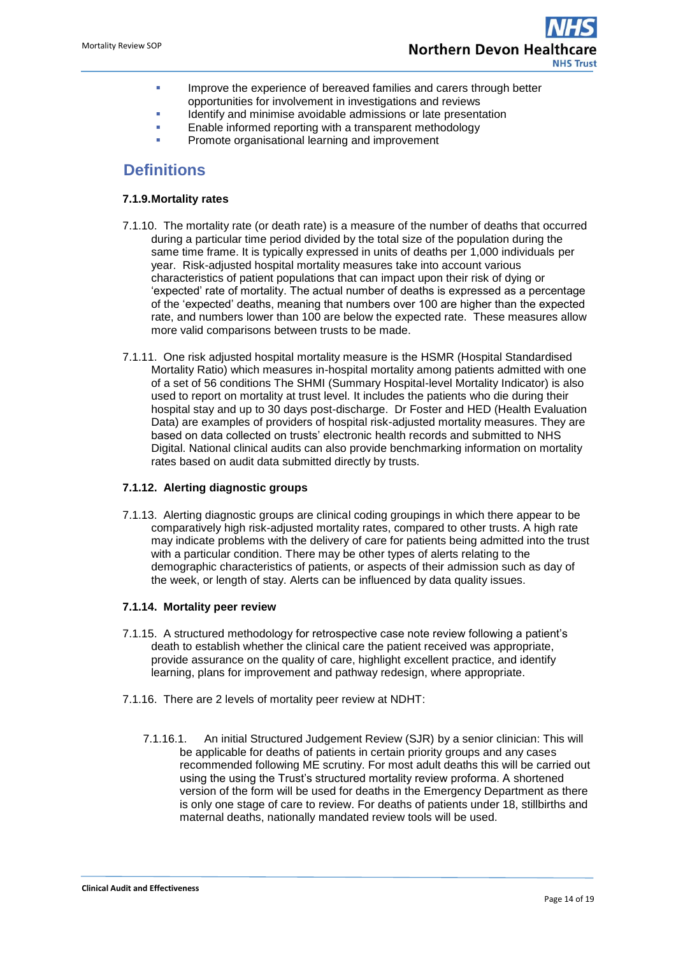- **IMPROVE THE EXPERIELE OF SERVER CHARGE IMPROVE THE EXPERIELM** IMPROVE the experience of better opportunities for involvement in investigations and reviews
- Identify and minimise avoidable admissions or late presentation
- Enable informed reporting with a transparent methodology Promote organisational learning and improvement

## <span id="page-13-0"></span>**Definitions**

#### **7.1.9.Mortality rates**

- 7.1.10. The mortality rate (or death rate) is a measure of the number of deaths that occurred during a particular time period divided by the total size of the population during the same time frame. It is typically expressed in units of deaths per 1,000 individuals per year. Risk-adjusted hospital mortality measures take into account various characteristics of patient populations that can impact upon their risk of dying or 'expected' rate of mortality. The actual number of deaths is expressed as a percentage of the 'expected' deaths, meaning that numbers over 100 are higher than the expected rate, and numbers lower than 100 are below the expected rate. These measures allow more valid comparisons between trusts to be made.
- 7.1.11. One risk adjusted hospital mortality measure is the HSMR (Hospital Standardised Mortality Ratio) which measures in-hospital mortality among patients admitted with one of a set of 56 conditions The SHMI (Summary Hospital-level Mortality Indicator) is also used to report on mortality at trust level. It includes the patients who die during their hospital stay and up to 30 days post-discharge. Dr Foster and HED (Health Evaluation Data) are examples of providers of hospital risk-adjusted mortality measures. They are based on data collected on trusts' electronic health records and submitted to NHS Digital. National clinical audits can also provide benchmarking information on mortality rates based on audit data submitted directly by trusts.

#### **7.1.12. Alerting diagnostic groups**

7.1.13. Alerting diagnostic groups are clinical coding groupings in which there appear to be comparatively high risk-adjusted mortality rates, compared to other trusts. A high rate may indicate problems with the delivery of care for patients being admitted into the trust with a particular condition. There may be other types of alerts relating to the demographic characteristics of patients, or aspects of their admission such as day of the week, or length of stay. Alerts can be influenced by data quality issues.

#### **7.1.14. Mortality peer review**

- 7.1.15. A structured methodology for retrospective case note review following a patient's death to establish whether the clinical care the patient received was appropriate, provide assurance on the quality of care, highlight excellent practice, and identify learning, plans for improvement and pathway redesign, where appropriate.
- 7.1.16. There are 2 levels of mortality peer review at NDHT:
	- 7.1.16.1. An initial Structured Judgement Review (SJR) by a senior clinician: This will be applicable for deaths of patients in certain priority groups and any cases recommended following ME scrutiny. For most adult deaths this will be carried out using the using the Trust's structured mortality review proforma. A shortened version of the form will be used for deaths in the Emergency Department as there is only one stage of care to review. For deaths of patients under 18, stillbirths and maternal deaths, nationally mandated review tools will be used.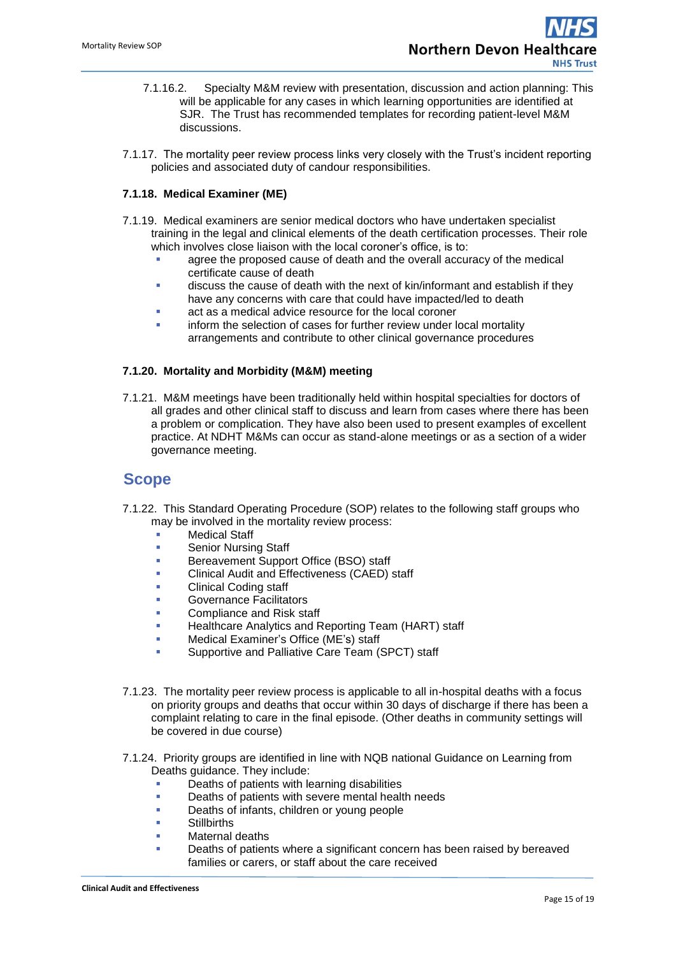- 7.1.16.2. Specialty M&M review with presentation, discussion and action planning: This will be applicable for any cases in which learning opportunities are identified at SJR. The Trust has recommended templates for recording patient-level M&M discussions.
- 7.1.17. The mortality peer review process links very closely with the Trust's incident reporting policies and associated duty of candour responsibilities.

#### **7.1.18. Medical Examiner (ME)**

- 7.1.19. Medical examiners are senior medical doctors who have undertaken specialist training in the legal and clinical elements of the death certification processes. Their role which involves close liaison with the local coroner's office, is to:
	- agree the proposed cause of death and the overall accuracy of the medical certificate cause of death
	- discuss the cause of death with the next of kin/informant and establish if they have any concerns with care that could have impacted/led to death
	- act as a medical advice resource for the local coroner
	- inform the selection of cases for further review under local mortality arrangements and contribute to other clinical governance procedures

#### **7.1.20. Mortality and Morbidity (M&M) meeting**

7.1.21. M&M meetings have been traditionally held within hospital specialties for doctors of all grades and other clinical staff to discuss and learn from cases where there has been a problem or complication. They have also been used to present examples of excellent practice. At NDHT M&Ms can occur as stand-alone meetings or as a section of a wider governance meeting.

### <span id="page-14-0"></span>**Scope**

- 7.1.22. This Standard Operating Procedure (SOP) relates to the following staff groups who may be involved in the mortality review process:
	- **Nedical Staff**
	- **Senior Nursing Staff**
	- **Bereavement Support Office (BSO) staff**
	- Clinical Audit and Effectiveness (CAED) staff
	- Clinical Coding staff
	- Governance Facilitators
	- Compliance and Risk staff
	- Healthcare Analytics and Reporting Team (HART) staff
	- Medical Examiner's Office (ME's) staff
	- Supportive and Palliative Care Team (SPCT) staff
- 7.1.23. The mortality peer review process is applicable to all in-hospital deaths with a focus on priority groups and deaths that occur within 30 days of discharge if there has been a complaint relating to care in the final episode. (Other deaths in community settings will be covered in due course)
- 7.1.24. Priority groups are identified in line with NQB national Guidance on Learning from Deaths guidance. They include:
	- **•** Deaths of patients with learning disabilities
	- **Deaths of patients with severe mental health needs**
	- Deaths of infants, children or young people
	- **Stillbirths**
	- Maternal deaths
	- Deaths of patients where a significant concern has been raised by bereaved families or carers, or staff about the care received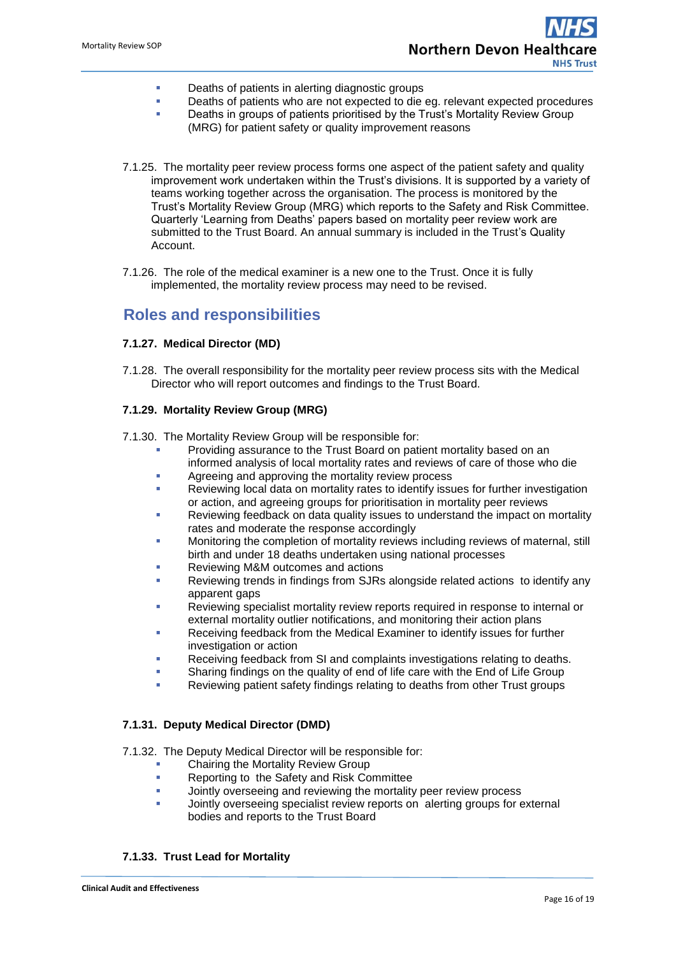- **•** Deaths of patients in alerting diagnostic groups
- Deaths of patients who are not expected to die eg. relevant expected procedures
	- Deaths in groups of patients prioritised by the Trust's Mortality Review Group (MRG) for patient safety or quality improvement reasons
- 7.1.25. The mortality peer review process forms one aspect of the patient safety and quality improvement work undertaken within the Trust's divisions. It is supported by a variety of teams working together across the organisation. The process is monitored by the Trust's Mortality Review Group (MRG) which reports to the Safety and Risk Committee. Quarterly 'Learning from Deaths' papers based on mortality peer review work are submitted to the Trust Board. An annual summary is included in the Trust's Quality Account.
- 7.1.26. The role of the medical examiner is a new one to the Trust. Once it is fully implemented, the mortality review process may need to be revised.

### <span id="page-15-0"></span>**Roles and responsibilities**

#### **7.1.27. Medical Director (MD)**

7.1.28. The overall responsibility for the mortality peer review process sits with the Medical Director who will report outcomes and findings to the Trust Board.

#### **7.1.29. Mortality Review Group (MRG)**

- 7.1.30. The Mortality Review Group will be responsible for:
	- Providing assurance to the Trust Board on patient mortality based on an informed analysis of local mortality rates and reviews of care of those who die
	- **Agreeing and approving the mortality review process**
	- Reviewing local data on mortality rates to identify issues for further investigation or action, and agreeing groups for prioritisation in mortality peer reviews
	- Reviewing feedback on data quality issues to understand the impact on mortality rates and moderate the response accordingly
	- Monitoring the completion of mortality reviews including reviews of maternal, still birth and under 18 deaths undertaken using national processes
	- Reviewing M&M outcomes and actions
	- Reviewing trends in findings from SJRs alongside related actions to identify any apparent gaps
	- Reviewing specialist mortality review reports required in response to internal or external mortality outlier notifications, and monitoring their action plans
	- Receiving feedback from the Medical Examiner to identify issues for further investigation or action
	- Receiving feedback from SI and complaints investigations relating to deaths.
	- Sharing findings on the quality of end of life care with the End of Life Group
	- Reviewing patient safety findings relating to deaths from other Trust groups

#### **7.1.31. Deputy Medical Director (DMD)**

7.1.32. The Deputy Medical Director will be responsible for:

- Chairing the Mortality Review Group
- **Reporting to the Safety and Risk Committee**
- **Jointly overseeing and reviewing the mortality peer review process**
- Jointly overseeing specialist review reports on alerting groups for external bodies and reports to the Trust Board

#### **7.1.33. Trust Lead for Mortality**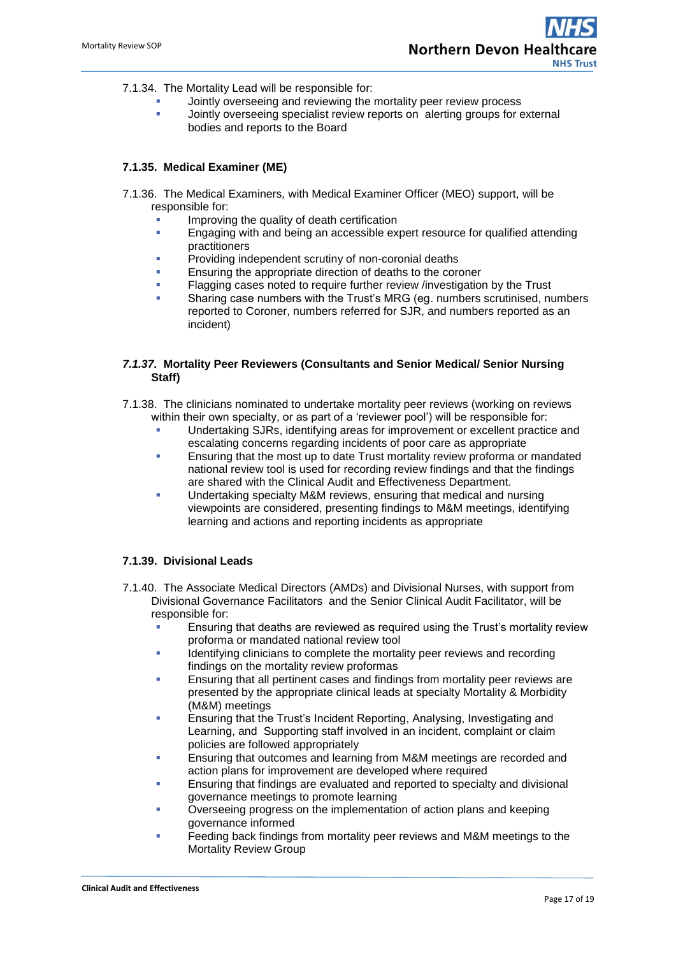- 7.1.34. The Mortality Lead will be responsible for:
	- Jointly overseeing and reviewing the mortality peer review process
	- Jointly overseeing specialist review reports on alerting groups for external bodies and reports to the Board

#### **7.1.35. Medical Examiner (ME)**

- 7.1.36. The Medical Examiners*,* with Medical Examiner Officer (MEO) support, will be responsible for:
	- Improving the quality of death certification
	- **Engaging with and being an accessible expert resource for qualified attending** practitioners
	- Providing independent scrutiny of non-coronial deaths
	- Ensuring the appropriate direction of deaths to the coroner
	- Flagging cases noted to require further review /investigation by the Trust
	- Sharing case numbers with the Trust's MRG (eg. numbers scrutinised, numbers reported to Coroner, numbers referred for SJR, and numbers reported as an incident)

#### *7.1.37.* **Mortality Peer Reviewers (Consultants and Senior Medical/ Senior Nursing Staff)**

- 7.1.38. The clinicians nominated to undertake mortality peer reviews (working on reviews within their own specialty, or as part of a 'reviewer pool') will be responsible for:
	- Undertaking SJRs, identifying areas for improvement or excellent practice and escalating concerns regarding incidents of poor care as appropriate
	- Ensuring that the most up to date Trust mortality review proforma or mandated national review tool is used for recording review findings and that the findings are shared with the Clinical Audit and Effectiveness Department.
	- Undertaking specialty M&M reviews, ensuring that medical and nursing viewpoints are considered, presenting findings to M&M meetings, identifying learning and actions and reporting incidents as appropriate

#### **7.1.39. Divisional Leads**

- 7.1.40. The Associate Medical Directors (AMDs) and Divisional Nurses, with support from Divisional Governance Facilitators and the Senior Clinical Audit Facilitator, will be responsible for:
	- **Ensuring that deaths are reviewed as required using the Trust's mortality review** proforma or mandated national review tool
	- **IDENT** Identifying clinicians to complete the mortality peer reviews and recording findings on the mortality review proformas
	- Ensuring that all pertinent cases and findings from mortality peer reviews are presented by the appropriate clinical leads at specialty Mortality & Morbidity (M&M) meetings
	- Ensuring that the Trust's Incident Reporting, Analysing, Investigating and Learning, and Supporting staff involved in an incident, complaint or claim policies are followed appropriately
	- Ensuring that outcomes and learning from M&M meetings are recorded and action plans for improvement are developed where required
	- Ensuring that findings are evaluated and reported to specialty and divisional governance meetings to promote learning
	- Overseeing progress on the implementation of action plans and keeping governance informed
	- Feeding back findings from mortality peer reviews and M&M meetings to the Mortality Review Group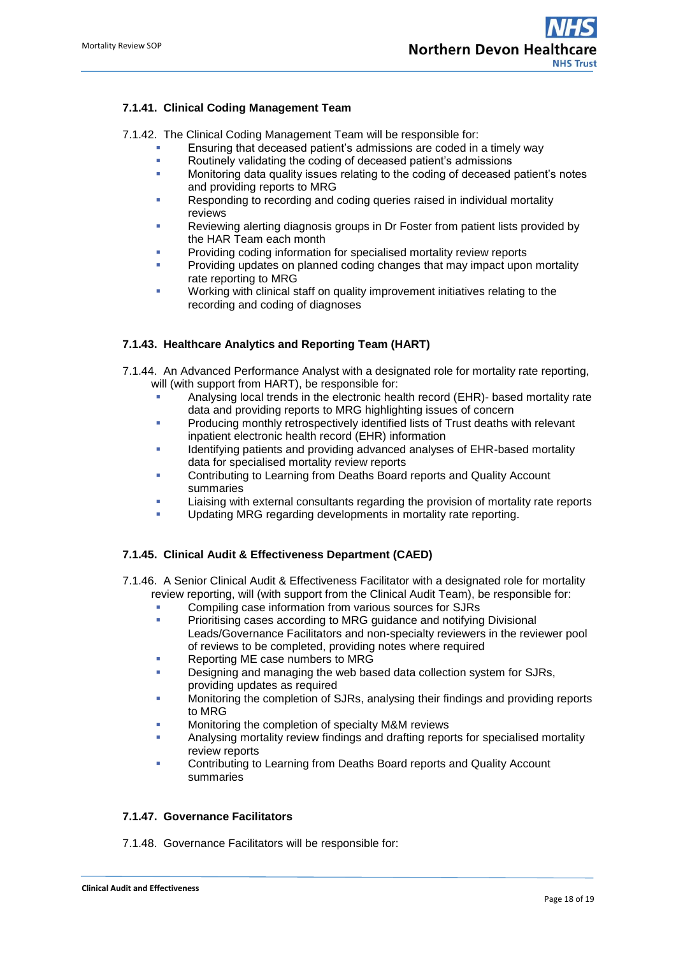#### **7.1.41. Clinical Coding Management Team**

7.1.42. The Clinical Coding Management Team will be responsible for:

- Ensuring that deceased patient's admissions are coded in a timely way
- **Routinely validating the coding of deceased patient's admissions**
- Monitoring data quality issues relating to the coding of deceased patient's notes and providing reports to MRG
- Responding to recording and coding queries raised in individual mortality reviews
- Reviewing alerting diagnosis groups in Dr Foster from patient lists provided by the HAR Team each month
- Providing coding information for specialised mortality review reports
- Providing updates on planned coding changes that may impact upon mortality rate reporting to MRG
- Working with clinical staff on quality improvement initiatives relating to the recording and coding of diagnoses

#### **7.1.43. Healthcare Analytics and Reporting Team (HART)**

- 7.1.44. An Advanced Performance Analyst with a designated role for mortality rate reporting, will (with support from HART), be responsible for:
	- Analysing local trends in the electronic health record (EHR)- based mortality rate data and providing reports to MRG highlighting issues of concern
	- **Producing monthly retrospectively identified lists of Trust deaths with relevant** inpatient electronic health record (EHR) information
	- Identifying patients and providing advanced analyses of EHR-based mortality data for specialised mortality review reports
	- Contributing to Learning from Deaths Board reports and Quality Account summaries
	- Liaising with external consultants regarding the provision of mortality rate reports
	- Updating MRG regarding developments in mortality rate reporting.

#### **7.1.45. Clinical Audit & Effectiveness Department (CAED)**

- 7.1.46. A Senior Clinical Audit & Effectiveness Facilitator with a designated role for mortality review reporting, will (with support from the Clinical Audit Team), be responsible for:
	- **Compiling case information from various sources for SJRs**
	- **Prioritising cases according to MRG guidance and notifying Divisional** Leads/Governance Facilitators and non-specialty reviewers in the reviewer pool of reviews to be completed, providing notes where required
	- Reporting ME case numbers to MRG
	- Designing and managing the web based data collection system for SJRs, providing updates as required
	- Monitoring the completion of SJRs, analysing their findings and providing reports to MRG
	- Monitoring the completion of specialty M&M reviews
	- Analysing mortality review findings and drafting reports for specialised mortality review reports
	- Contributing to Learning from Deaths Board reports and Quality Account summaries

#### **7.1.47. Governance Facilitators**

7.1.48. Governance Facilitators will be responsible for: